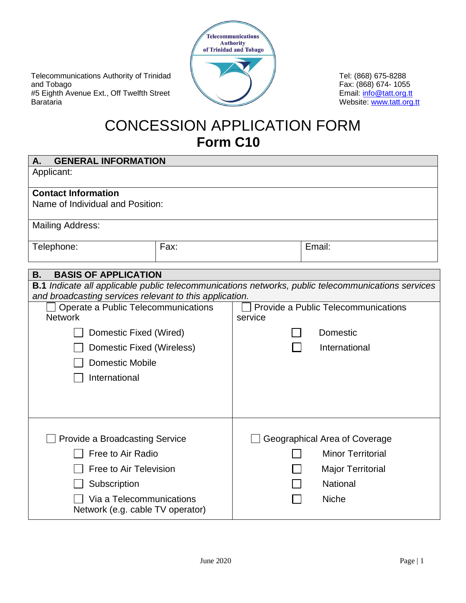Telecommunications Authority of Trinidad and Tobago #5 Eighth Avenue Ext., Off Twelfth Street Barataria



Tel: (868) 675-8288 Fax: (868) 674- 1055 Email: [info@tatt.org.tt](mailto:info@tatt.org.tt) Website: [www.tatt.org.tt](http://www.tatt.org.tt/)

# CONCESSION APPLICATION FORM **Form C10**

| <b>GENERAL INFORMATION</b><br>Α.                                                                                                                                     |      |                                                |                          |  |  |  |
|----------------------------------------------------------------------------------------------------------------------------------------------------------------------|------|------------------------------------------------|--------------------------|--|--|--|
| Applicant:                                                                                                                                                           |      |                                                |                          |  |  |  |
| <b>Contact Information</b>                                                                                                                                           |      |                                                |                          |  |  |  |
| Name of Individual and Position:                                                                                                                                     |      |                                                |                          |  |  |  |
| <b>Mailing Address:</b>                                                                                                                                              |      |                                                |                          |  |  |  |
| Telephone:                                                                                                                                                           | Fax: |                                                | Email:                   |  |  |  |
| <b>BASIS OF APPLICATION</b><br>В.                                                                                                                                    |      |                                                |                          |  |  |  |
| <b>B.1</b> Indicate all applicable public telecommunications networks, public telecommunications services<br>and broadcasting services relevant to this application. |      |                                                |                          |  |  |  |
| Operate a Public Telecommunications<br><b>Network</b>                                                                                                                |      | Provide a Public Telecommunications<br>service |                          |  |  |  |
|                                                                                                                                                                      |      |                                                |                          |  |  |  |
| Domestic Fixed (Wired)                                                                                                                                               |      |                                                | <b>Domestic</b>          |  |  |  |
| Domestic Fixed (Wireless)                                                                                                                                            |      |                                                | International            |  |  |  |
| <b>Domestic Mobile</b>                                                                                                                                               |      |                                                |                          |  |  |  |
| International                                                                                                                                                        |      |                                                |                          |  |  |  |
|                                                                                                                                                                      |      |                                                |                          |  |  |  |
|                                                                                                                                                                      |      |                                                |                          |  |  |  |
|                                                                                                                                                                      |      |                                                |                          |  |  |  |
| <b>Provide a Broadcasting Service</b>                                                                                                                                |      | Geographical Area of Coverage                  |                          |  |  |  |
| Free to Air Radio                                                                                                                                                    |      |                                                | <b>Minor Territorial</b> |  |  |  |
| Free to Air Television                                                                                                                                               |      |                                                | <b>Major Territorial</b> |  |  |  |
| Subscription                                                                                                                                                         |      |                                                | <b>National</b>          |  |  |  |
| Via a Telecommunications<br>Network (e.g. cable TV operator)                                                                                                         |      |                                                | <b>Niche</b>             |  |  |  |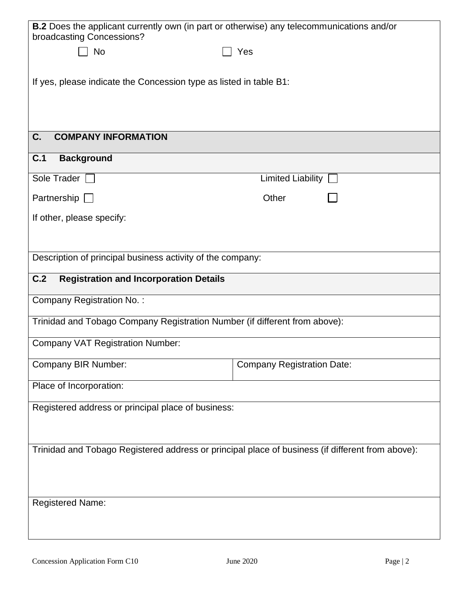| B.2 Does the applicant currently own (in part or otherwise) any telecommunications and/or<br>broadcasting Concessions? |  |  |  |  |  |
|------------------------------------------------------------------------------------------------------------------------|--|--|--|--|--|
| Yes                                                                                                                    |  |  |  |  |  |
|                                                                                                                        |  |  |  |  |  |
| If yes, please indicate the Concession type as listed in table B1:                                                     |  |  |  |  |  |
|                                                                                                                        |  |  |  |  |  |
|                                                                                                                        |  |  |  |  |  |
|                                                                                                                        |  |  |  |  |  |
|                                                                                                                        |  |  |  |  |  |
| Limited Liability                                                                                                      |  |  |  |  |  |
| Other                                                                                                                  |  |  |  |  |  |
|                                                                                                                        |  |  |  |  |  |
|                                                                                                                        |  |  |  |  |  |
| Description of principal business activity of the company:                                                             |  |  |  |  |  |
|                                                                                                                        |  |  |  |  |  |
|                                                                                                                        |  |  |  |  |  |
| Trinidad and Tobago Company Registration Number (if different from above):                                             |  |  |  |  |  |
|                                                                                                                        |  |  |  |  |  |
| <b>Company Registration Date:</b>                                                                                      |  |  |  |  |  |
|                                                                                                                        |  |  |  |  |  |
|                                                                                                                        |  |  |  |  |  |
|                                                                                                                        |  |  |  |  |  |
| Trinidad and Tobago Registered address or principal place of business (if different from above):                       |  |  |  |  |  |
|                                                                                                                        |  |  |  |  |  |
|                                                                                                                        |  |  |  |  |  |
|                                                                                                                        |  |  |  |  |  |
|                                                                                                                        |  |  |  |  |  |
|                                                                                                                        |  |  |  |  |  |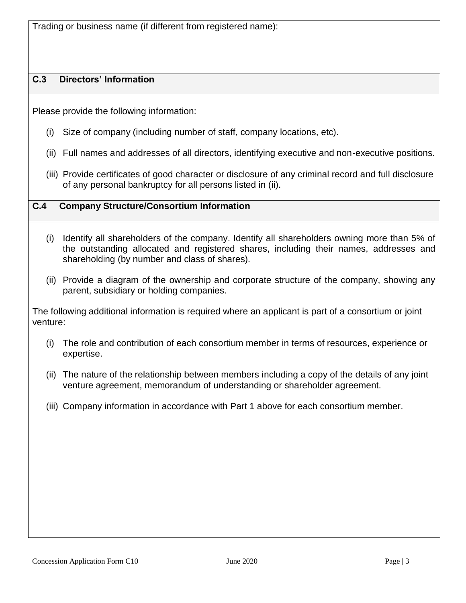Trading or business name (if different from registered name):

## **C.3 Directors' Information**

Please provide the following information:

- (i) Size of company (including number of staff, company locations, etc).
- (ii) Full names and addresses of all directors, identifying executive and non-executive positions.
- (iii) Provide certificates of good character or disclosure of any criminal record and full disclosure of any personal bankruptcy for all persons listed in (ii).

#### **C.4 Company Structure/Consortium Information**

- (i) Identify all shareholders of the company. Identify all shareholders owning more than 5% of the outstanding allocated and registered shares, including their names, addresses and shareholding (by number and class of shares).
- (ii) Provide a diagram of the ownership and corporate structure of the company, showing any parent, subsidiary or holding companies.

The following additional information is required where an applicant is part of a consortium or joint venture:

- (i) The role and contribution of each consortium member in terms of resources, experience or expertise.
- (ii) The nature of the relationship between members including a copy of the details of any joint venture agreement, memorandum of understanding or shareholder agreement.
- (iii) Company information in accordance with Part 1 above for each consortium member.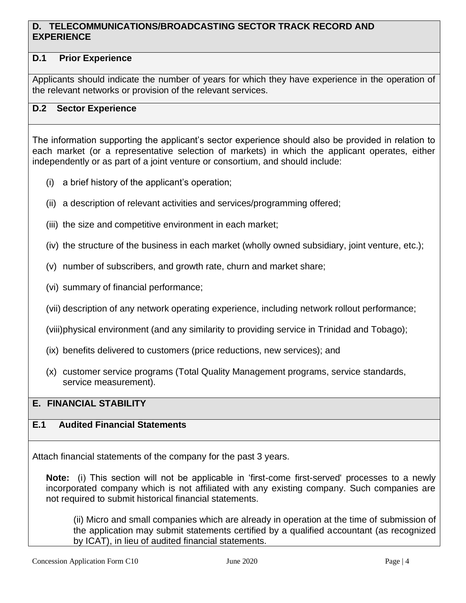#### **D. TELECOMMUNICATIONS/BROADCASTING SECTOR TRACK RECORD AND EXPERIENCE**

## **D.1 Prior Experience**

Applicants should indicate the number of years for which they have experience in the operation of the relevant networks or provision of the relevant services.

#### **D.2 Sector Experience**

The information supporting the applicant's sector experience should also be provided in relation to each market (or a representative selection of markets) in which the applicant operates, either independently or as part of a joint venture or consortium, and should include:

- (i) a brief history of the applicant's operation;
- (ii) a description of relevant activities and services/programming offered;
- (iii) the size and competitive environment in each market;
- (iv) the structure of the business in each market (wholly owned subsidiary, joint venture, etc.);
- (v) number of subscribers, and growth rate, churn and market share;
- (vi) summary of financial performance;
- (vii) description of any network operating experience, including network rollout performance;

(viii)physical environment (and any similarity to providing service in Trinidad and Tobago);

- (ix) benefits delivered to customers (price reductions, new services); and
- (x) customer service programs (Total Quality Management programs, service standards, service measurement).

#### **E. FINANCIAL STABILITY**

#### **E.1 Audited Financial Statements**

Attach financial statements of the company for the past 3 years.

**Note:** (i) This section will not be applicable in 'first-come first-served' processes to a newly incorporated company which is not affiliated with any existing company. Such companies are not required to submit historical financial statements.

(ii) Micro and small companies which are already in operation at the time of submission of the application may submit statements certified by a qualified accountant (as recognized by ICAT), in lieu of audited financial statements.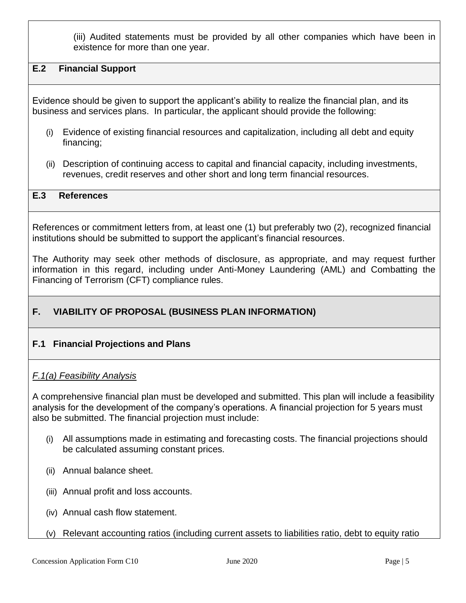(iii) Audited statements must be provided by all other companies which have been in existence for more than one year.

#### **E.2 Financial Support**

Evidence should be given to support the applicant's ability to realize the financial plan, and its business and services plans. In particular, the applicant should provide the following:

- (i) Evidence of existing financial resources and capitalization, including all debt and equity financing;
- (ii) Description of continuing access to capital and financial capacity, including investments, revenues, credit reserves and other short and long term financial resources.

#### **E.3 References**

References or commitment letters from, at least one (1) but preferably two (2), recognized financial institutions should be submitted to support the applicant's financial resources.

The Authority may seek other methods of disclosure, as appropriate, and may request further information in this regard, including under Anti-Money Laundering (AML) and Combatting the Financing of Terrorism (CFT) compliance rules.

## **F. VIABILITY OF PROPOSAL (BUSINESS PLAN INFORMATION)**

#### **F.1 Financial Projections and Plans**

#### *F.1(a) Feasibility Analysis*

A comprehensive financial plan must be developed and submitted. This plan will include a feasibility analysis for the development of the company's operations. A financial projection for 5 years must also be submitted. The financial projection must include:

- (i) All assumptions made in estimating and forecasting costs. The financial projections should be calculated assuming constant prices.
- (ii) Annual balance sheet.
- (iii) Annual profit and loss accounts.
- (iv) Annual cash flow statement.
- (v) Relevant accounting ratios (including current assets to liabilities ratio, debt to equity ratio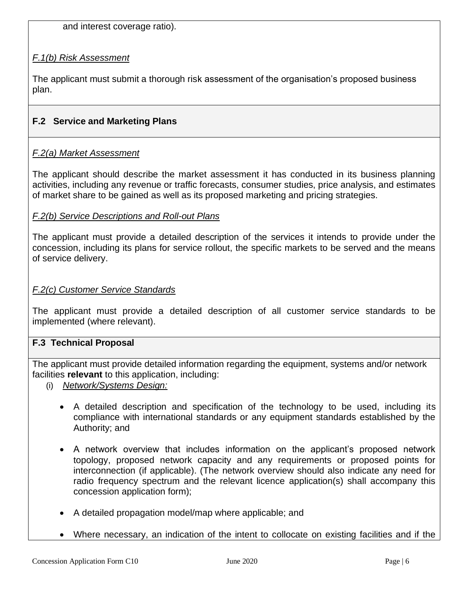and interest coverage ratio).

## *F.1(b) Risk Assessment*

The applicant must submit a thorough risk assessment of the organisation's proposed business plan.

## **F.2 Service and Marketing Plans**

#### *F.2(a) Market Assessment*

The applicant should describe the market assessment it has conducted in its business planning activities, including any revenue or traffic forecasts, consumer studies, price analysis, and estimates of market share to be gained as well as its proposed marketing and pricing strategies.

#### *F.2(b) Service Descriptions and Roll-out Plans*

The applicant must provide a detailed description of the services it intends to provide under the concession, including its plans for service rollout, the specific markets to be served and the means of service delivery.

#### *F.2(c) Customer Service Standards*

The applicant must provide a detailed description of all customer service standards to be implemented (where relevant).

#### **F.3 Technical Proposal**

The applicant must provide detailed information regarding the equipment, systems and/or network facilities **relevant** to this application, including:

- (i) *Network/Systems Design:*
	- A detailed description and specification of the technology to be used, including its compliance with international standards or any equipment standards established by the Authority; and
	- A network overview that includes information on the applicant's proposed network topology, proposed network capacity and any requirements or proposed points for interconnection (if applicable). (The network overview should also indicate any need for radio frequency spectrum and the relevant licence application(s) shall accompany this concession application form);
	- A detailed propagation model/map where applicable; and
	- Where necessary, an indication of the intent to collocate on existing facilities and if the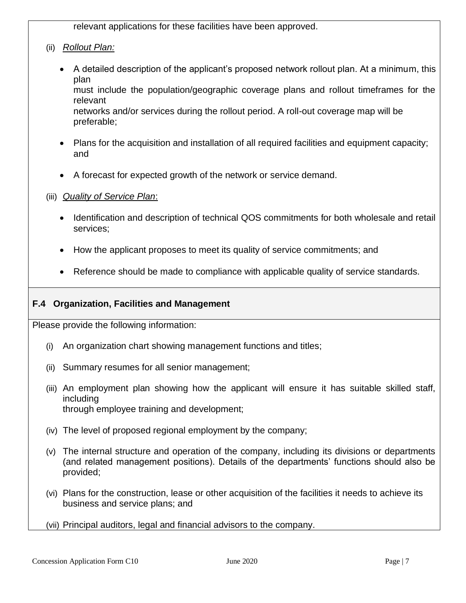relevant applications for these facilities have been approved.

- (ii) *Rollout Plan:*
	- A detailed description of the applicant's proposed network rollout plan. At a minimum, this plan must include the population/geographic coverage plans and rollout timeframes for the relevant networks and/or services during the rollout period. A roll-out coverage map will be preferable;
	- Plans for the acquisition and installation of all required facilities and equipment capacity; and
	- A forecast for expected growth of the network or service demand.
- (iii) *Quality of Service Plan*:
	- Identification and description of technical QOS commitments for both wholesale and retail services;
	- How the applicant proposes to meet its quality of service commitments; and
	- Reference should be made to compliance with applicable quality of service standards.

#### **F.4 Organization, Facilities and Management**

Please provide the following information:

- (i) An organization chart showing management functions and titles;
- (ii) Summary resumes for all senior management;
- (iii) An employment plan showing how the applicant will ensure it has suitable skilled staff, including through employee training and development;
- (iv) The level of proposed regional employment by the company;
- (v) The internal structure and operation of the company, including its divisions or departments (and related management positions). Details of the departments' functions should also be provided;
- (vi) Plans for the construction, lease or other acquisition of the facilities it needs to achieve its business and service plans; and
- (vii) Principal auditors, legal and financial advisors to the company.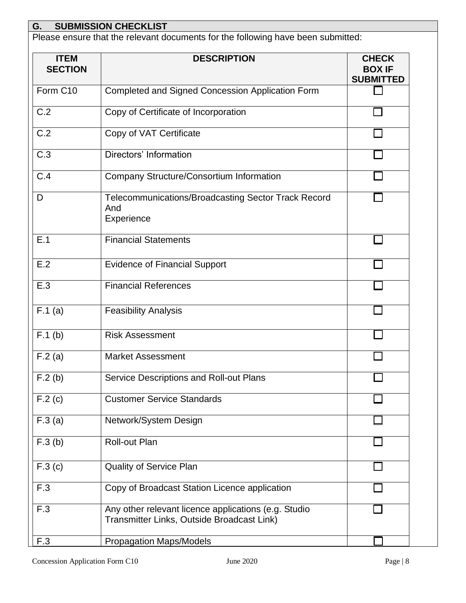## **G. SUBMISSION CHECKLIST**

Please ensure that the relevant documents for the following have been submitted:

| <b>ITEM</b><br><b>SECTION</b> | <b>DESCRIPTION</b>                                                                                 | <b>CHECK</b><br><b>BOX IF</b><br><b>SUBMITTED</b> |
|-------------------------------|----------------------------------------------------------------------------------------------------|---------------------------------------------------|
| Form C10                      | Completed and Signed Concession Application Form                                                   |                                                   |
| C.2                           | Copy of Certificate of Incorporation                                                               |                                                   |
| C.2                           | Copy of VAT Certificate                                                                            |                                                   |
| C.3                           | Directors' Information                                                                             |                                                   |
| C.4                           | Company Structure/Consortium Information                                                           |                                                   |
| D                             | <b>Telecommunications/Broadcasting Sector Track Record</b><br>And<br>Experience                    |                                                   |
| E.1                           | <b>Financial Statements</b>                                                                        |                                                   |
| E.2                           | <b>Evidence of Financial Support</b>                                                               |                                                   |
| E.3                           | <b>Financial References</b>                                                                        |                                                   |
| F.1(a)                        | <b>Feasibility Analysis</b>                                                                        |                                                   |
| $F.1$ (b)                     | <b>Risk Assessment</b>                                                                             |                                                   |
| F.2(a)                        | <b>Market Assessment</b>                                                                           |                                                   |
| F.2(b)                        | Service Descriptions and Roll-out Plans                                                            |                                                   |
| F.2(c)                        | <b>Customer Service Standards</b>                                                                  |                                                   |
| F.3(a)                        | Network/System Design                                                                              |                                                   |
| F.3(b)                        | Roll-out Plan                                                                                      |                                                   |
| F.3(c)                        | <b>Quality of Service Plan</b>                                                                     |                                                   |
| F.3                           | Copy of Broadcast Station Licence application                                                      |                                                   |
| F.3                           | Any other relevant licence applications (e.g. Studio<br>Transmitter Links, Outside Broadcast Link) |                                                   |
| F.3                           | <b>Propagation Maps/Models</b>                                                                     |                                                   |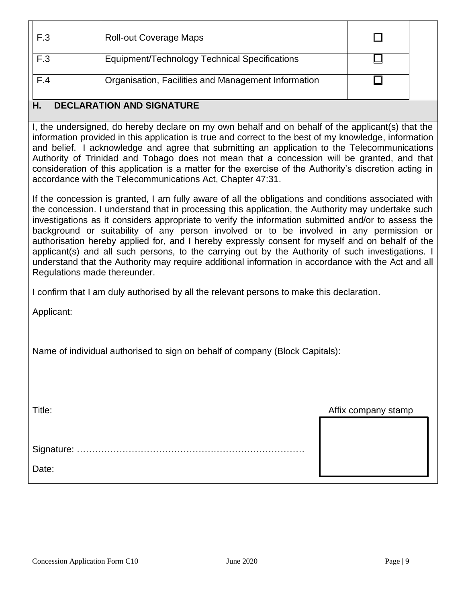| F.3                              | <b>Roll-out Coverage Maps</b>                       |  |  |
|----------------------------------|-----------------------------------------------------|--|--|
| F.3                              | Equipment/Technology Technical Specifications       |  |  |
| F.4                              | Organisation, Facilities and Management Information |  |  |
| <b>DECLARATION AND SIGNATURE</b> |                                                     |  |  |

I, the undersigned, do hereby declare on my own behalf and on behalf of the applicant(s) that the information provided in this application is true and correct to the best of my knowledge, information and belief. I acknowledge and agree that submitting an application to the Telecommunications Authority of Trinidad and Tobago does not mean that a concession will be granted, and that consideration of this application is a matter for the exercise of the Authority's discretion acting in accordance with the Telecommunications Act, Chapter 47:31.

If the concession is granted, I am fully aware of all the obligations and conditions associated with the concession. I understand that in processing this application, the Authority may undertake such investigations as it considers appropriate to verify the information submitted and/or to assess the background or suitability of any person involved or to be involved in any permission or authorisation hereby applied for, and I hereby expressly consent for myself and on behalf of the applicant(s) and all such persons, to the carrying out by the Authority of such investigations. I understand that the Authority may require additional information in accordance with the Act and all Regulations made thereunder.

I confirm that I am duly authorised by all the relevant persons to make this declaration.

Applicant:

Name of individual authorised to sign on behalf of company (Block Capitals):

Title: Affix company stamp

Signature: …………………………………………………………………

Date: